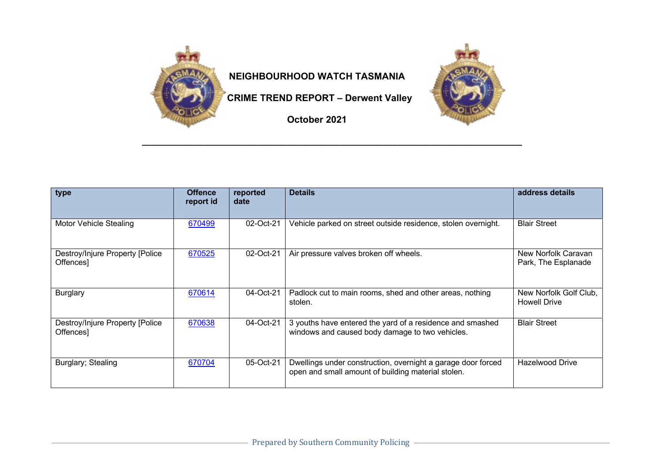

## **NEIGHBOURHOOD WATCH TASMANIA**

 **CRIME TREND REPORT – Derwent Valley**

**October 2021**

**\_\_\_\_\_\_\_\_\_\_\_\_\_\_\_\_\_\_\_\_\_\_\_\_\_\_\_\_\_\_\_\_\_\_\_\_\_\_\_\_\_\_\_\_\_\_\_\_\_\_\_\_\_\_\_\_\_\_\_\_\_\_\_\_\_\_\_\_\_\_\_\_\_\_\_\_\_\_\_**

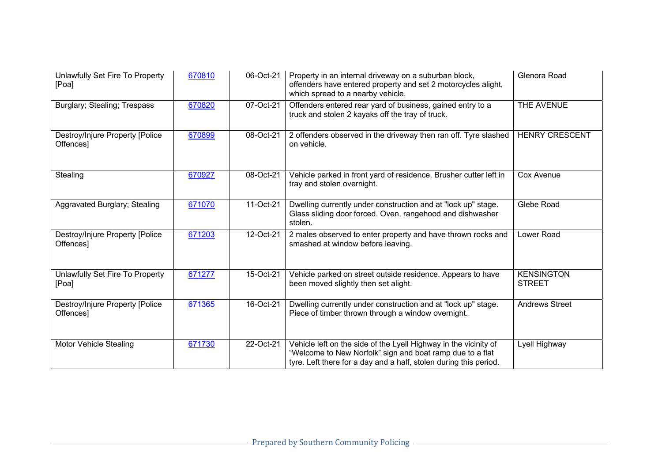| Unlawfully Set Fire To Property<br>[Poa]     | 670810 | 06-Oct-21 | Property in an internal driveway on a suburban block,<br>offenders have entered property and set 2 motorcycles alight,<br>which spread to a nearby vehicle.                                        | Glenora Road                       |
|----------------------------------------------|--------|-----------|----------------------------------------------------------------------------------------------------------------------------------------------------------------------------------------------------|------------------------------------|
| Burglary; Stealing; Trespass                 | 670820 | 07-Oct-21 | Offenders entered rear yard of business, gained entry to a<br>truck and stolen 2 kayaks off the tray of truck.                                                                                     | THE AVENUE                         |
| Destroy/Injure Property [Police<br>Offences] | 670899 | 08-Oct-21 | 2 offenders observed in the driveway then ran off. Tyre slashed<br>on vehicle.                                                                                                                     | <b>HENRY CRESCENT</b>              |
| Stealing                                     | 670927 | 08-Oct-21 | Vehicle parked in front yard of residence. Brusher cutter left in<br>tray and stolen overnight.                                                                                                    | Cox Avenue                         |
| Aggravated Burglary; Stealing                | 671070 | 11-Oct-21 | Dwelling currently under construction and at "lock up" stage.<br>Glass sliding door forced. Oven, rangehood and dishwasher<br>stolen.                                                              | Glebe Road                         |
| Destroy/Injure Property [Police<br>Offences] | 671203 | 12-Oct-21 | 2 males observed to enter property and have thrown rocks and<br>smashed at window before leaving.                                                                                                  | Lower Road                         |
| Unlawfully Set Fire To Property<br>[Poa]     | 671277 | 15-Oct-21 | Vehicle parked on street outside residence. Appears to have<br>been moved slightly then set alight.                                                                                                | <b>KENSINGTON</b><br><b>STREET</b> |
| Destroy/Injure Property [Police<br>Offences] | 671365 | 16-Oct-21 | Dwelling currently under construction and at "lock up" stage.<br>Piece of timber thrown through a window overnight.                                                                                | <b>Andrews Street</b>              |
| <b>Motor Vehicle Stealing</b>                | 671730 | 22-Oct-21 | Vehicle left on the side of the Lyell Highway in the vicinity of<br>"Welcome to New Norfolk" sign and boat ramp due to a flat<br>tyre. Left there for a day and a half, stolen during this period. | Lyell Highway                      |